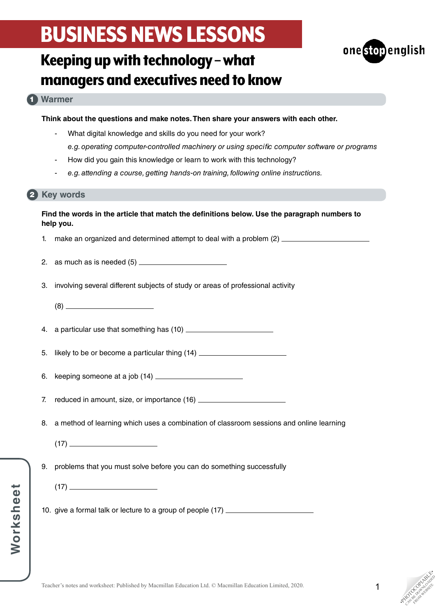

## Keeping up with technology – what managers and executives need to know

## **Warmer** 1

**Think about the questions and make notes. Then share your answers with each other.**

- What digital knowledge and skills do you need for your work? *e.g. operating computer-controlled machinery or using specific computer software or programs*
- How did you gain this knowledge or learn to work with this technology?
- *e.g. attending a course, getting hands-on training, following online instructions.*

### 2 Key words

### **Find the words in the article that match the definitions below. Use the paragraph numbers to help you.**

- 1. make an organized and determined attempt to deal with a problem (2)
- 2. as much as is needed (5)
- 3. involving several different subjects of study or areas of professional activity
	- (8)
- 4. a particular use that something has (10)
- 5. likely to be or become a particular thing (14)
- 6. keeping someone at a job (14)
- 7. reduced in amount, size, or importance (16) \_\_\_\_\_\_\_\_\_\_\_\_\_\_\_\_\_\_\_\_\_\_\_\_\_\_\_\_\_\_\_\_\_
- 8. a method of learning which uses a combination of classroom sessions and online learning
	- (17)
- 9. problems that you must solve before you can do something successfully
	- $(17)$
- 10. give a formal talk or lecture to a group of people (17)

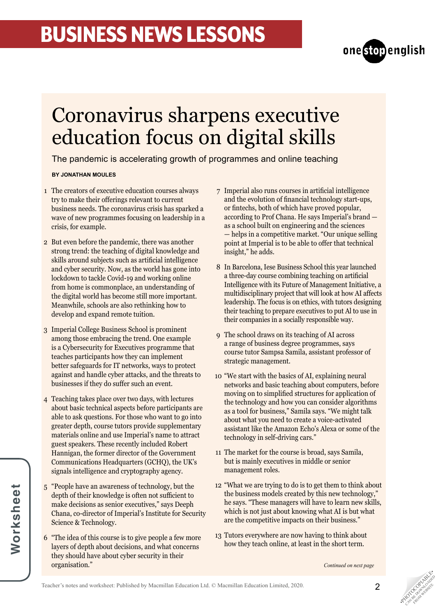

## Coronavirus sharpens executive education focus on digital skills

The pandemic is accelerating growth of programmes and online teaching

### **BY JONATHAN MOULES**

- The creators of executive education courses always 1 try to make their offerings relevant to current business needs. The coronavirus crisis has sparked a wave of new programmes focusing on leadership in a crisis, for example.
- 2 But even before the pandemic, there was another strong trend: the teaching of digital knowledge and skills around subjects such as artificial intelligence and cyber security. Now, as the world has gone into lockdown to tackle Covid-19 and working online from home is commonplace, an understanding of the digital world has become still more important. Meanwhile, schools are also rethinking how to develop and expand remote tuition.
- 3 Imperial College Business School is prominent among those embracing the trend. One example is a Cybersecurity for Executives programme that teaches participants how they can implement better safeguards for IT networks, ways to protect against and handle cyber attacks, and the threats to businesses if they do suffer such an event.
- Teaching takes place over two days, with lectures 4 about basic technical aspects before participants are able to ask questions. For those who want to go into greater depth, course tutors provide supplementary materials online and use Imperial's name to attract guest speakers. These recently included Robert Hannigan, the former director of the Government Communications Headquarters (GCHQ), the UK's signals intelligence and cryptography agency.
- "People have an awareness of technology, but the 5 depth of their knowledge is often not sufficient to make decisions as senior executives," says Deeph Chana, co-director of Imperial's Institute for Security Science & Technology.
- "The idea of this course is to give people a few more 6 layers of depth about decisions, and what concerns they should have about cyber security in their organisation."
- Imperial also runs courses in artificial intelligence 7 and the evolution of financial technology start-ups, or fintechs, both of which have proved popular, according to Prof Chana. He says Imperial's brand as a school built on engineering and the sciences — helps in a competitive market. "Our unique selling point at Imperial is to be able to offer that technical insight," he adds.
- 8 In Barcelona, Iese Business School this year launched a three-day course combining teaching on artificial Intelligence with its Future of Management Initiative, a multidisciplinary project that will look at how AI affects leadership. The focus is on ethics, with tutors designing their teaching to prepare executives to put Al to use in their companies in a socially responsible way.
- The school draws on its teaching of AI across 9 a range of business degree programmes, says course tutor Sampsa Samila, assistant professor of strategic management.
- "We start with the basics of AI, explaining neural 10 networks and basic teaching about computers, before moving on to simplified structures for application of the technology and how you can consider algorithms as a tool for business," Samila says. "We might talk about what you need to create a voice-activated assistant like the Amazon Echo's Alexa or some of the technology in self-driving cars."
- 11 The market for the course is broad, says Samila, but is mainly executives in middle or senior management roles.
- "What we are trying to do is to get them to think about 12 the business models created by this new technology," he says. "These managers will have to learn new skills, which is not just about knowing what AI is but what are the competitive impacts on their business."
- 13 Tutors everywhere are now having to think about how they teach online, at least in the short term.

*Continued on next page*



**PHOTOGRAPHICATE** CAN BE DOWNLOAD FROM WEBSITE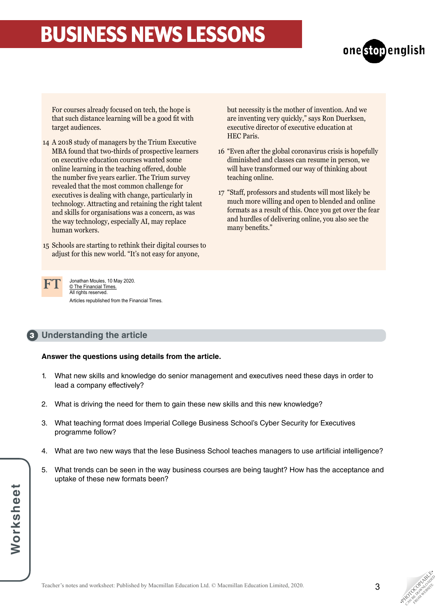

For courses already focused on tech, the hope is that such distance learning will be a good fit with target audiences.

- A 2018 study of managers by the Trium Executive 14 MBA found that two-thirds of prospective learners on executive education courses wanted some online learning in the teaching offered, double the number five years earlier. The Trium survey revealed that the most common challenge for executives is dealing with change, particularly in technology. Attracting and retaining the right talent and skills for organisations was a concern, as was the way technology, especially AI, may replace human workers.
- Schools are starting to rethink their digital courses to 15 adjust for this new world. "It's not easy for anyone,

but necessity is the mother of invention. And we are inventing very quickly," says Ron Duerksen, executive director of executive education at HEC Paris.

- "Even after the global coronavirus crisis is hopefully 16 diminished and classes can resume in person, we will have transformed our way of thinking about teaching online.
- "Staff, professors and students will most likely be 17 much more willing and open to blended and online formats as a result of this. Once you get over the fear and hurdles of delivering online, you also see the many benefits."



Jonathan Moules, 10 May 2020. © The Financial Times. All rights reserved. Articles republished from the Financial Times.

## **Understanding the article** 3

### **Answer the questions using details from the article.**

- 1. What new skills and knowledge do senior management and executives need these days in order to lead a company effectively?
- 2. What is driving the need for them to gain these new skills and this new knowledge?
- 3. What teaching format does Imperial College Business School's Cyber Security for Executives programme follow?
- 4. What are two new ways that the Iese Business School teaches managers to use artificial intelligence?
- 5. What trends can be seen in the way business courses are being taught? How has the acceptance and uptake of these new formats been?

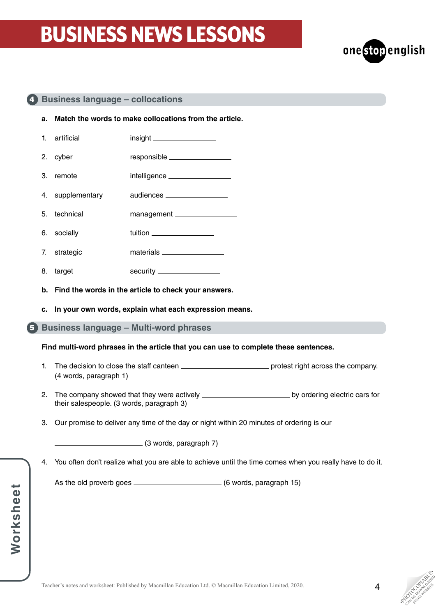

### **Business language – collocations** 4

- **a. Match the words to make collocations from the article.**
- 1. artificial insight insight instrument insight in the second intervalse in the second in the second in the second in the second in the second in the second in the second in the second in the second in the second in the s 2. cyber responsible 3. remote intelligence 4. supplementary audiences
- 5. technical management
- 6. socially tuition
- 7. strategic materials
- 8. target security
- **b. Find the words in the article to check your answers.**
- **c. In your own words, explain what each expression means.**
- **Business language Multi-word phrases** 5

**Find multi-word phrases in the article that you can use to complete these sentences.**

- 1. The decision to close the staff canteen protest right across the company. (4 words, paragraph 1)
- 2. The company showed that they were actively \_\_\_\_\_\_\_\_\_\_\_\_\_\_\_\_\_\_\_\_\_\_\_\_\_\_\_\_ by ordering electric cars for their salespeople. (3 words, paragraph 3)
- 3. Our promise to deliver any time of the day or night within 20 minutes of ordering is our

(3 words, paragraph 7)

4. You often don't realize what you are able to achieve until the time comes when you really have to do it.

As the old proverb goes (6 words, paragraph 15)